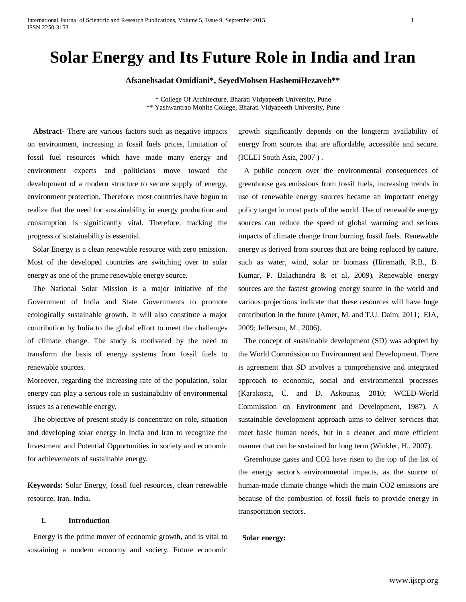International Journal of Scientific and Research Publications, Volume 5, Issue 9, September 2015 1 ISSN 2250-3153

# **Solar Energy and Its Future Role in India and Iran**

**Afsanehsadat Omidiani\*, SeyedMohsen HashemiHezaveh\*\***

 \* College Of Architecture, Bharati Vidyapeeth University, Pune \*\* Yashwantrao Mohite College, Bharati Vidyapeeth University, Pune

 **Abstract-** There are various factors such as negative impacts on environment, increasing in fossil fuels prices, limitation of fossil fuel resources which have made many energy and environment experts and politicians move toward the development of a modern structure to secure supply of energy, environment protection. Therefore, most countries have begun to realize that the need for sustainability in energy production and consumption is significantly vital. Therefore, tracking the progress of sustainability is essential.

 Solar Energy is a clean renewable resource with zero emission. Most of the developed countries are switching over to solar energy as one of the prime renewable energy source.

 The National Solar Mission is a major initiative of the Government of India and State Governments to promote ecologically sustainable growth. It will also constitute a major contribution by India to the global effort to meet the challenges of climate change. The study is motivated by the need to transform the basis of energy systems from fossil fuels to renewable sources.

Moreover, regarding the increasing rate of the population, solar energy can play a serious role in sustainability of environmental issues as a renewable energy.

 The objective of present study is concentrate on role, situation and developing solar energy in India and Iran to recognize the Investment and Potential Opportunities in society and economic for achievements of sustainable energy.

**Keywords:** Solar Energy, fossil fuel resources, clean renewable resource, Iran, India.

# **I. Introduction**

 Energy is the prime mover of economic growth, and is vital to sustaining a modern economy and society. Future economic growth significantly depends on the longterm availability of energy from sources that are affordable, accessible and secure. (ICLEI South Asia, 2007 ) .

 A public concern over the environmental consequences of greenhouse gas emissions from fossil fuels, increasing trends in use of renewable energy sources became an important energy policy target in most parts of the world. Use of renewable energy sources can reduce the speed of global warming and serious impacts of climate change from burning fossil fuels. Renewable energy is derived from sources that are being replaced by nature, such as water, wind, solar or biomass (Hiremath, R.B., B. Kumar, P. Balachandra & et al, 2009). Renewable energy sources are the fastest growing energy source in the world and various projections indicate that these resources will have huge contribution in the future (Amer, M. and T.U. Daim, 2011; EIA, 2009; Jefferson, M., 2006).

 The concept of sustainable development (SD) was adopted by the World Commission on Environment and Development. There is agreement that SD involves a comprehensive and integrated approach to economic, social and environmental processes (Karakosta, C. and D. Askounis, 2010; WCED-World Commission on Environment and Development, 1987). A sustainable development approach aims to deliver services that meet basic human needs, but in a cleaner and more efficient manner that can be sustained for long term (Winkler, H., 2007).

 Greenhouse gases and CO2 have risen to the top of the list of the energy sector's environmental impacts, as the source of human-made climate change which the main CO2 emissions are because of the combustion of fossil fuels to provide energy in transportation sectors.

# **Solar energy:**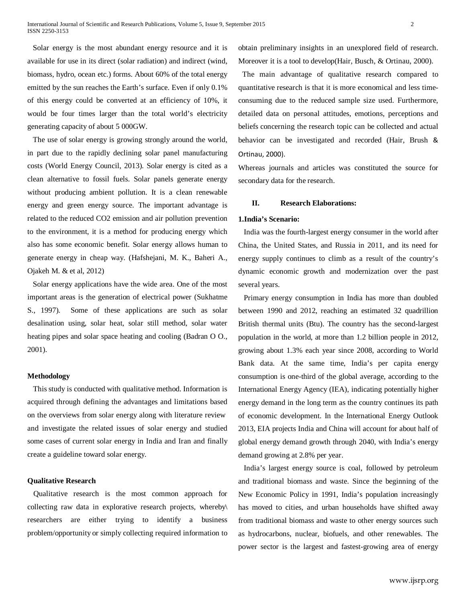Solar energy is the most abundant energy resource and it is available for use in its direct (solar radiation) and indirect (wind, biomass, hydro, ocean etc.) forms. About 60% of the total energy emitted by the sun reaches the Earth's surface. Even if only 0.1% of this energy could be converted at an efficiency of 10%, it would be four times larger than the total world's electricity generating capacity of about 5 000GW.

 The use of solar energy is growing strongly around the world, in part due to the rapidly declining solar panel manufacturing costs (World Energy Council, 2013). Solar energy is cited as a clean alternative to fossil fuels. Solar panels generate energy without producing ambient pollution. It is a clean renewable energy and green energy source. The important advantage is related to the reduced CO2 emission and air pollution prevention to the environment, it is a method for producing energy which also has some economic benefit. Solar energy allows human to generate energy in cheap way. (Hafshejani, M. K., Baheri A., Ojakeh M. & et al, 2012)

 Solar energy applications have the wide area. One of the most important areas is the generation of electrical power (Sukhatme S., 1997). Some of these applications are such as solar desalination using, solar heat, solar still method, solar water heating pipes and solar space heating and cooling (Badran O O., 2001).

# **Methodology**

 This study is conducted with qualitative method. Information is acquired through defining the advantages and limitations based on the overviews from solar energy along with literature review and investigate the related issues of solar energy and studied some cases of current solar energy in India and Iran and finally create a guideline toward solar energy.

#### **Qualitative Research**

Qualitative research is the most common approach for collecting raw data in explorative research projects, whereby\ researchers are either trying to identify a business problem/opportunity or simply collecting required information to obtain preliminary insights in an unexplored field of research. Moreover it is a tool to develop(Hair, Busch, & Ortinau, 2000).

 The main advantage of qualitative research compared to quantitative research is that it is more economical and less timeconsuming due to the reduced sample size used. Furthermore, detailed data on personal attitudes, emotions, perceptions and beliefs concerning the research topic can be collected and actual behavior can be investigated and recorded (Hair, Brush & Ortinau, 2000).

Whereas journals and articles was constituted the source for secondary data for the research.

#### **II. Research Elaborations:**

#### **1.India's Scenario:**

 India was the fourth-largest energy consumer in the world after China, the United States, and Russia in 2011, and its need for energy supply continues to climb as a result of the country's dynamic economic growth and modernization over the past several years.

 Primary energy consumption in India has more than doubled between 1990 and 2012, reaching an estimated 32 quadrillion British thermal units (Btu). The country has the second-largest population in the world, at more than 1.2 billion people in 2012, growing about 1.3% each year since 2008, according to World Bank data. At the same time, India's per capita energy consumption is one-third of the global average, according to the International Energy Agency (IEA), indicating potentially higher energy demand in the long term as the country continues its path of economic development. In the International Energy Outlook 2013, EIA projects India and China will account for about half of global energy demand growth through 2040, with India's energy demand growing at 2.8% per year.

 India's largest energy source is coal, followed by petroleum and traditional biomass and waste. Since the beginning of the New Economic Policy in 1991, India's population increasingly has moved to cities, and urban households have shifted away from traditional biomass and waste to other energy sources such as hydrocarbons, nuclear, biofuels, and other renewables. The power sector is the largest and fastest-growing area of energy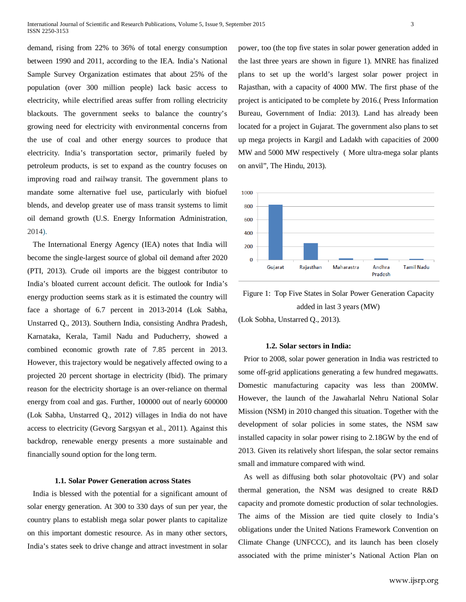demand, rising from 22% to 36% of total energy consumption between 1990 and 2011, according to the IEA. India's National Sample Survey Organization estimates that about 25% of the population (over 300 million people) lack basic access to electricity, while electrified areas suffer from rolling electricity blackouts. The government seeks to balance the country's growing need for electricity with environmental concerns from the use of coal and other energy sources to produce that electricity. India's transportation sector, primarily fueled by petroleum products, is set to expand as the country focuses on improving road and railway transit. The government plans to mandate some alternative fuel use, particularly with biofuel blends, and develop greater use of mass transit systems to limit oil demand growth (U.S. Energy Information Administration, 2014).

 The International Energy Agency (IEA) notes that India will become the single-largest source of global oil demand after 2020 (PTI, 2013). Crude oil imports are the biggest contributor to India's bloated current account deficit. The outlook for India's energy production seems stark as it is estimated the country will face a shortage of 6.7 percent in 2013-2014 (Lok Sabha, Unstarred Q., 2013). Southern India, consisting Andhra Pradesh, Karnataka, Kerala, Tamil Nadu and Puducherry, showed a combined economic growth rate of 7.85 percent in 2013. However, this trajectory would be negatively affected owing to a projected 20 percent shortage in electricity (Ibid). The primary reason for the electricity shortage is an over-reliance on thermal energy from coal and gas. Further, 100000 out of nearly 600000 (Lok Sabha, Unstarred Q., 2012) villages in India do not have access to electricity (Gevorg Sargsyan et al., 2011). Against this backdrop, renewable energy presents a more sustainable and financially sound option for the long term.

# **1.1. Solar Power Generation across States**

 India is blessed with the potential for a significant amount of solar energy generation. At 300 to 330 days of sun per year, the country plans to establish mega solar power plants to capitalize on this important domestic resource. As in many other sectors, India's states seek to drive change and attract investment in solar power, too (the top five states in solar power generation added in the last three years are shown in figure 1). MNRE has finalized plans to set up the world's largest solar power project in Rajasthan, with a capacity of 4000 MW. The first phase of the project is anticipated to be complete by 2016.( Press Information Bureau, Government of India: 2013). Land has already been located for a project in Gujarat. The government also plans to set up mega projects in Kargil and Ladakh with capacities of 2000 MW and 5000 MW respectively ( More ultra-mega solar plants on anvil", The Hindu, 2013).



Figure 1: Top Five States in Solar Power Generation Capacity added in last 3 years (MW)

(Lok Sobha, Unstarred Q., 2013).

#### **1.2. Solar sectors in India:**

 Prior to 2008, solar power generation in India was restricted to some off-grid applications generating a few hundred megawatts. Domestic manufacturing capacity was less than 200MW. However, the launch of the Jawaharlal Nehru National Solar Mission (NSM) in 2010 changed this situation. Together with the development of solar policies in some states, the NSM saw installed capacity in solar power rising to 2.18GW by the end of 2013. Given its relatively short lifespan, the solar sector remains small and immature compared with wind.

 As well as diffusing both solar photovoltaic (PV) and solar thermal generation, the NSM was designed to create R&D capacity and promote domestic production of solar technologies. The aims of the Mission are tied quite closely to India's obligations under the United Nations Framework Convention on Climate Change (UNFCCC), and its launch has been closely associated with the prime minister's National Action Plan on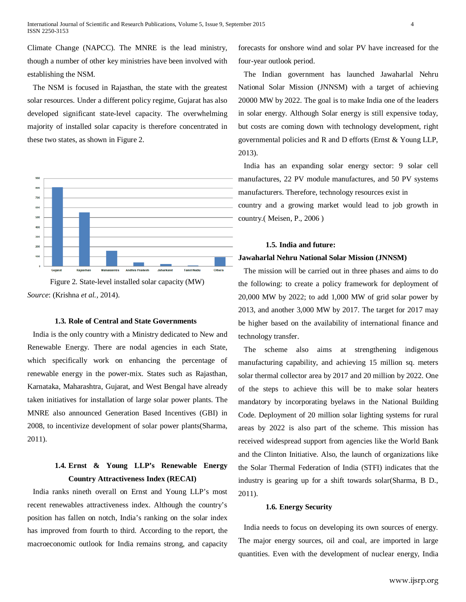Climate Change (NAPCC). The MNRE is the lead ministry, though a number of other key ministries have been involved with establishing the NSM.

 The NSM is focused in Rajasthan, the state with the greatest solar resources. Under a different policy regime, Gujarat has also developed significant state-level capacity. The overwhelming majority of installed solar capacity is therefore concentrated in these two states, as shown in Figure 2.





# **1.3. Role of Central and State Governments**

 India is the only country with a Ministry dedicated to New and Renewable Energy. There are nodal agencies in each State, which specifically work on enhancing the percentage of renewable energy in the power-mix. States such as Rajasthan, Karnataka, Maharashtra, Gujarat, and West Bengal have already taken initiatives for installation of large solar power plants. The MNRE also announced Generation Based Incentives (GBI) in 2008, to incentivize development of solar power plants(Sharma, 2011).

# **1.4. Ernst & Young LLP's Renewable Energy Country Attractiveness Index (RECAI)**

 India ranks nineth overall on Ernst and Young LLP's most recent renewables attractiveness index. Although the country's position has fallen on notch, India's ranking on the solar index has improved from fourth to third. According to the report, the macroeconomic outlook for India remains strong, and capacity forecasts for onshore wind and solar PV have increased for the four-year outlook period.

 The Indian government has launched Jawaharlal Nehru National Solar Mission (JNNSM) with a target of achieving 20000 MW by 2022. The goal is to make India one of the leaders in solar energy. Although Solar energy is still expensive today, but costs are coming down with technology development, right governmental policies and R and D efforts (Ernst & Young LLP, 2013).

 India has an expanding solar energy sector: 9 solar cell manufactures, 22 PV module manufactures, and 50 PV systems manufacturers. Therefore, technology resources exist in

country and a growing market would lead to job growth in country.( Meisen, P., 2006 )

#### **1.5. India and future:**

#### **Jawaharlal Nehru National Solar Mission (JNNSM)**

 The mission will be carried out in three phases and aims to do the following: to create a policy framework for deployment of 20,000 MW by 2022; to add 1,000 MW of grid solar power by 2013, and another 3,000 MW by 2017. The target for 2017 may be higher based on the availability of international finance and technology transfer.

 The scheme also aims at strengthening indigenous manufacturing capability, and achieving 15 million sq. meters solar thermal collector area by 2017 and 20 million by 2022. One of the steps to achieve this will be to make solar heaters mandatory by incorporating byelaws in the National Building Code. Deployment of 20 million solar lighting systems for rural areas by 2022 is also part of the scheme. This mission has received widespread support from agencies like the World Bank and the Clinton Initiative. Also, the launch of organizations like the Solar Thermal Federation of India (STFI) indicates that the industry is gearing up for a shift towards solar(Sharma, B D., 2011).

#### **1.6. Energy Security**

 India needs to focus on developing its own sources of energy. The major energy sources, oil and coal, are imported in large quantities. Even with the development of nuclear energy, India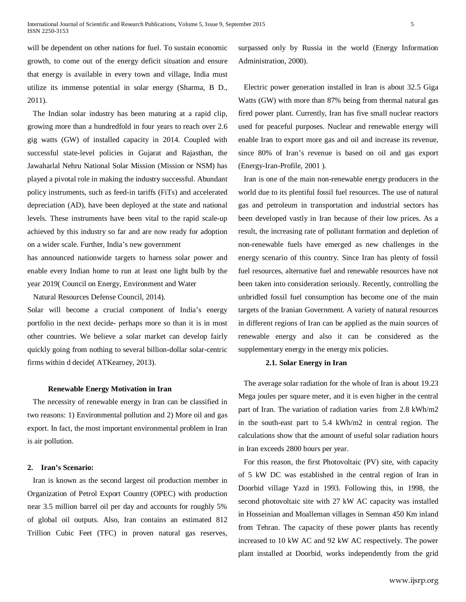will be dependent on other nations for fuel. To sustain economic growth, to come out of the energy deficit situation and ensure that energy is available in every town and village, India must utilize its immense potential in solar energy (Sharma, B D., 2011).

 The Indian solar industry has been maturing at a rapid clip, growing more than a hundredfold in four years to reach over 2.6 gig watts (GW) of installed capacity in 2014. Coupled with successful state-level policies in Gujarat and Rajasthan, the Jawaharlal Nehru National Solar Mission (Mission or NSM) has played a pivotal role in making the industry successful. Abundant policy instruments, such as feed-in tariffs (FiTs) and accelerated depreciation (AD), have been deployed at the state and national levels. These instruments have been vital to the rapid scale-up achieved by this industry so far and are now ready for adoption on a wider scale. Further, India's new government

has announced nationwide targets to harness solar power and enable every Indian home to run at least one light bulb by the year 2019( Council on Energy, Environment and Water

Natural Resources Defense Council, 2014).

Solar will become a crucial component of India's energy portfolio in the next decide- perhaps more so than it is in most other countries. We believe a solar market can develop fairly quickly going from nothing to several billion-dollar solar-centric firms within d decide( ATKearney, 2013).

#### **Renewable Energy Motivation in Iran**

 The necessity of renewable energy in Iran can be classified in two reasons: 1) Environmental pollution and 2) More oil and gas export. In fact, the most important environmental problem in Iran is air pollution.

# **2. Iran's Scenario:**

 Iran is known as the second largest oil production member in Organization of Petrol Export Country (OPEC) with production near 3.5 million barrel oil per day and accounts for roughly 5% of global oil outputs. Also, Iran contains an estimated 812 Trillion Cubic Feet (TFC) in proven natural gas reserves,

surpassed only by Russia in the world (Energy Information Administration, 2000).

 Electric power generation installed in Iran is about 32.5 Giga Watts (GW) with more than 87% being from thermal natural gas fired power plant. Currently, Iran has five small nuclear reactors used for peaceful purposes. Nuclear and renewable energy will enable Iran to export more gas and oil and increase its revenue, since 80% of Iran's revenue is based on oil and gas export (Energy-Iran-Profile, 2001 ).

 Iran is one of the main non-renewable energy producers in the world due to its plentiful fossil fuel resources. The use of natural gas and petroleum in transportation and industrial sectors has been developed vastly in Iran because of their low prices. As a result, the increasing rate of pollutant formation and depletion of non-renewable fuels have emerged as new challenges in the energy scenario of this country. Since Iran has plenty of fossil fuel resources, alternative fuel and renewable resources have not been taken into consideration seriously. Recently, controlling the unbridled fossil fuel consumption has become one of the main targets of the Iranian Government. A variety of natural resources in different regions of Iran can be applied as the main sources of renewable energy and also it can be considered as the supplementary energy in the energy mix policies.

#### **2.1. Solar Energy in Iran**

 The average solar radiation for the whole of Iran is about 19.23 Mega joules per square meter, and it is even higher in the central part of Iran. The variation of radiation varies from 2.8 kWh/m2 in the south-east part to 5.4 kWh/m2 in central region. The calculations show that the amount of useful solar radiation hours in Iran exceeds 2800 hours per year.

 For this reason, the first Photovoltaic (PV) site, with capacity of 5 kW DC was established in the central region of Iran in Doorbid village Yazd in 1993. Following this, in 1998, the second photovoltaic site with 27 kW AC capacity was installed in Hosseinian and Moalleman villages in Semnan 450 Km inland from Tehran. The capacity of these power plants has recently increased to 10 kW AC and 92 kW AC respectively. The power plant installed at Doorbid, works independently from the grid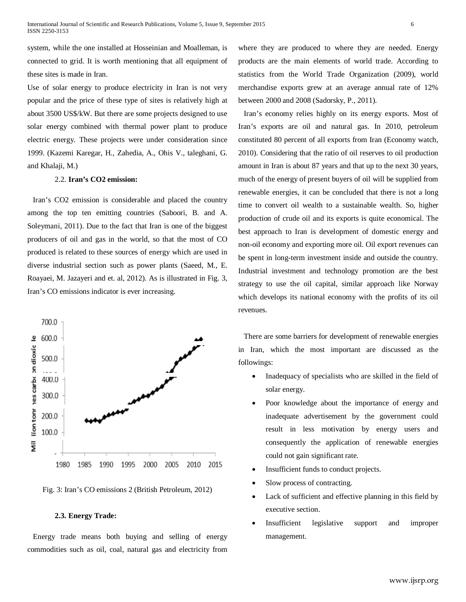system, while the one installed at Hosseinian and Moalleman, is connected to grid. It is worth mentioning that all equipment of these sites is made in Iran.

Use of solar energy to produce electricity in Iran is not very popular and the price of these type of sites is relatively high at about 3500 US\$/kW. But there are some projects designed to use solar energy combined with thermal power plant to produce electric energy. These projects were under consideration since 1999. (Kazemi Karegar, H., Zahedia, A., Ohis V., taleghani, G. and Khalaji, M.)

# 2.2. **Iran's CO2 emission:**

 Iran's CO2 emission is considerable and placed the country among the top ten emitting countries (Saboori, B. and A. Soleymani, 2011). Due to the fact that Iran is one of the biggest producers of oil and gas in the world, so that the most of CO produced is related to these sources of energy which are used in diverse industrial section such as power plants (Saeed, M., E. Roayaei, M. Jazayeri and et. al, 2012). As is illustrated in Fig. 3, Iran's CO emissions indicator is ever increasing.



Fig. 3: Iran's CO emissions 2 (British Petroleum, 2012)

#### **2.3. Energy Trade:**

 Energy trade means both buying and selling of energy commodities such as oil, coal, natural gas and electricity from where they are produced to where they are needed. Energy products are the main elements of world trade. According to statistics from the World Trade Organization (2009), world merchandise exports grew at an average annual rate of 12% between 2000 and 2008 (Sadorsky, P., 2011).

 Iran's economy relies highly on its energy exports. Most of Iran's exports are oil and natural gas. In 2010, petroleum constituted 80 percent of all exports from Iran (Economy watch, 2010). Considering that the ratio of oil reserves to oil production amount in Iran is about 87 years and that up to the next 30 years, much of the energy of present buyers of oil will be supplied from renewable energies, it can be concluded that there is not a long time to convert oil wealth to a sustainable wealth. So, higher production of crude oil and its exports is quite economical. The best approach to Iran is development of domestic energy and non-oil economy and exporting more oil. Oil export revenues can be spent in long-term investment inside and outside the country. Industrial investment and technology promotion are the best strategy to use the oil capital, similar approach like Norway which develops its national economy with the profits of its oil revenues.

 There are some barriers for development of renewable energies in Iran, which the most important are discussed as the followings:

- Inadequacy of specialists who are skilled in the field of solar energy.
- Poor knowledge about the importance of energy and inadequate advertisement by the government could result in less motivation by energy users and consequently the application of renewable energies could not gain significant rate.
- Insufficient funds to conduct projects.
- Slow process of contracting.
- Lack of sufficient and effective planning in this field by executive section.
- Insufficient legislative support and improper management.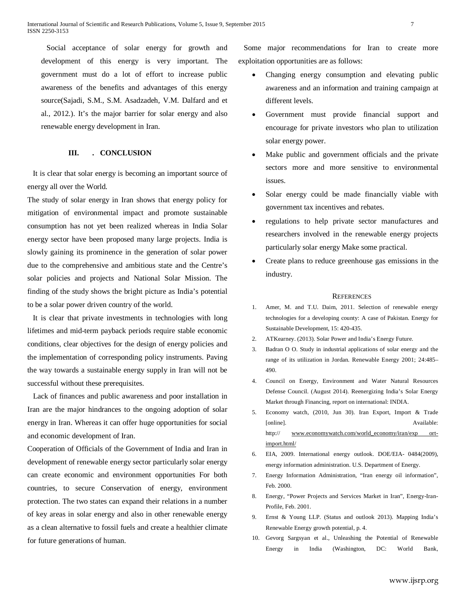Social acceptance of solar energy for growth and development of this energy is very important. The government must do a lot of effort to increase public awareness of the benefits and advantages of this energy source(Sajadi, S.M., S.M. Asadzadeh, V.M. Dalfard and et al., 2012.). It's the major barrier for solar energy and also renewable energy development in Iran.

# **III. . CONCLUSION**

 It is clear that solar energy is becoming an important source of energy all over the World.

The study of solar energy in Iran shows that energy policy for mitigation of environmental impact and promote sustainable consumption has not yet been realized whereas in India Solar energy sector have been proposed many large projects. India is slowly gaining its prominence in the generation of solar power due to the comprehensive and ambitious state and the Centre's solar policies and projects and National Solar Mission. The finding of the study shows the bright picture as India's potential to be a solar power driven country of the world.

 It is clear that private investments in technologies with long lifetimes and mid-term payback periods require stable economic conditions, clear objectives for the design of energy policies and the implementation of corresponding policy instruments. Paving the way towards a sustainable energy supply in Iran will not be successful without these prerequisites.

 Lack of finances and public awareness and poor installation in Iran are the major hindrances to the ongoing adoption of solar energy in Iran. Whereas it can offer huge opportunities for social and economic development of Iran.

Cooperation of Officials of the Government of India and Iran in development of renewable energy sector particularly solar energy can create economic and environment opportunities For both countries, to secure Conservation of energy, environment protection. The two states can expand their relations in a number of key areas in solar energy and also in other renewable energy as a clean alternative to fossil fuels and create a healthier climate for future generations of human.

 Some major recommendations for Iran to create more exploitation opportunities are as follows:

- Changing energy consumption and elevating public awareness and an information and training campaign at different levels.
- Government must provide financial support and encourage for private investors who plan to utilization solar energy power.
- Make public and government officials and the private sectors more and more sensitive to environmental issues.
- Solar energy could be made financially viable with government tax incentives and rebates.
- regulations to help private sector manufactures and researchers involved in the renewable energy projects particularly solar energy Make some practical.
- Create plans to reduce greenhouse gas emissions in the industry.

#### **REFERENCES**

- 1. Amer, M. and T.U. Daim, 2011. Selection of renewable energy technologies for a developing county: A case of Pakistan. Energy for Sustainable Development, 15: 420-435.
- 2. ATKearney. (2013). Solar Power and India's Energy Future.
- 3. Badran O O. Study in industrial applications of solar energy and the range of its utilization in Jordan. Renewable Energy 2001; 24:485– 490.
- 4. Council on Energy, Environment and Water Natural Resources Defense Council. (August 2014). Reenergizing India's Solar Energy Market through Financing, report on international: INDIA.
- 5. Economy watch, (2010, Jun 30). Iran Export, Import & Trade [online]. Available: http:// [www.economywatch.com/world\\_economy/iran/exp ort](http://www.economywatch.com/world_economy/iran/exp%20ort-import.html/)[import.html/](http://www.economywatch.com/world_economy/iran/exp%20ort-import.html/)
- 6. EIA, 2009. International energy outlook. DOE/EIA- 0484(2009), energy information administration. U.S. Department of Energy.
- 7. Energy Information Administration, "Iran energy oil information", Feb. 2000.
- 8. Energy, "Power Projects and Services Market in Iran", Energy-Iran-Profile, Feb. 2001.
- 9. Ernst & Young LLP. (Status and outlook 2013). Mapping India's Renewable Energy growth potential, p. 4.
- 10. Gevorg Sargsyan et al., Unleashing the Potential of Renewable Energy in India (Washington, DC: World Bank,